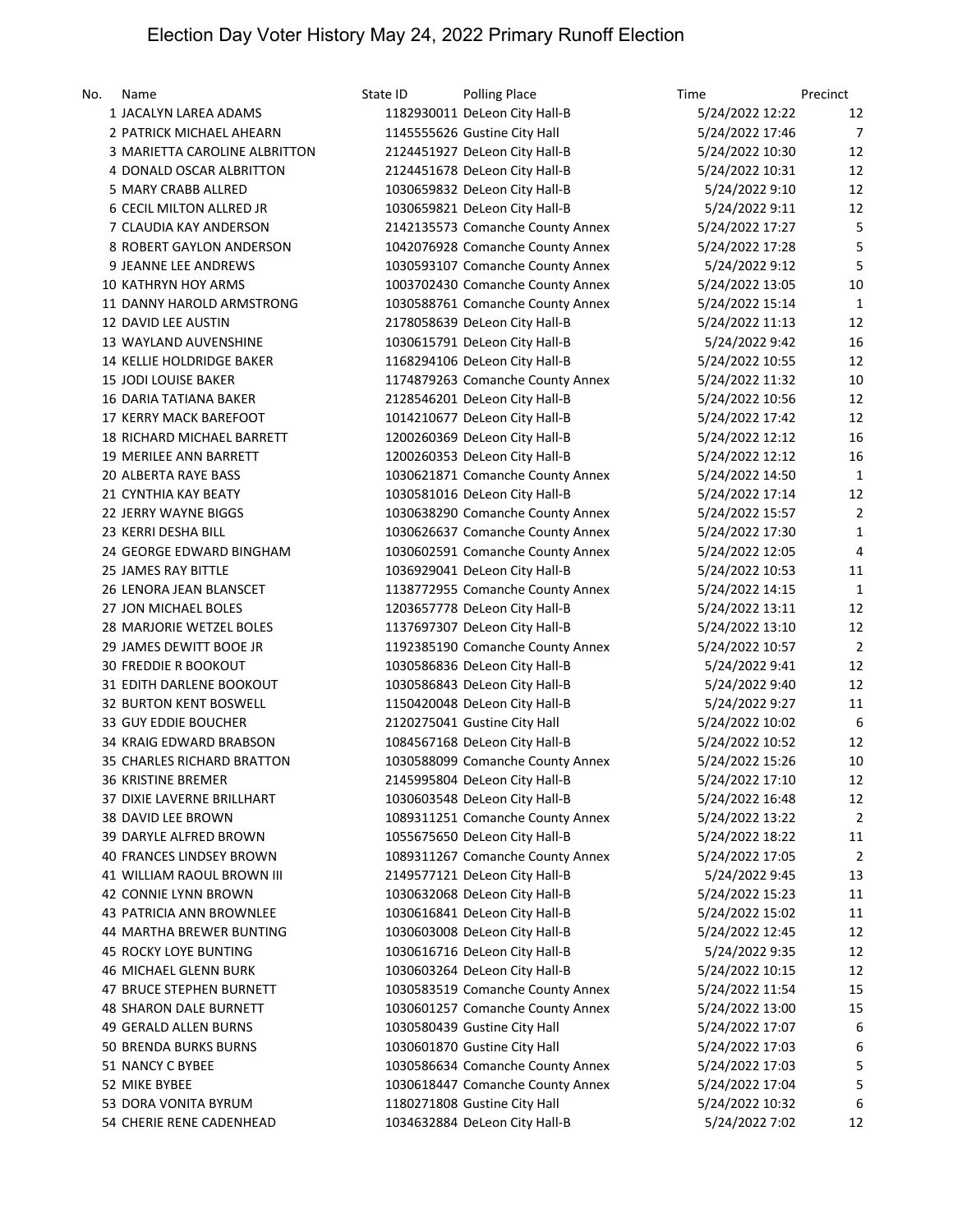| No. | Name                              | State ID | <b>Polling Place</b>             | Time                               | Precinct       |
|-----|-----------------------------------|----------|----------------------------------|------------------------------------|----------------|
|     | 1 JACALYN LAREA ADAMS             |          | 1182930011 DeLeon City Hall-B    | 5/24/2022 12:22                    | 12             |
|     | 2 PATRICK MICHAEL AHEARN          |          | 1145555626 Gustine City Hall     | 5/24/2022 17:46                    | $\overline{7}$ |
|     | 3 MARIETTA CAROLINE ALBRITTON     |          | 2124451927 DeLeon City Hall-B    | 5/24/2022 10:30                    | 12             |
|     | 4 DONALD OSCAR ALBRITTON          |          | 2124451678 DeLeon City Hall-B    | 5/24/2022 10:31                    | 12             |
|     | 5 MARY CRABB ALLRED               |          | 1030659832 DeLeon City Hall-B    | 5/24/2022 9:10                     | 12             |
|     | 6 CECIL MILTON ALLRED JR          |          | 1030659821 DeLeon City Hall-B    | 5/24/2022 9:11                     | 12             |
|     | 7 CLAUDIA KAY ANDERSON            |          | 2142135573 Comanche County Annex | 5/24/2022 17:27                    | 5              |
|     | 8 ROBERT GAYLON ANDERSON          |          | 1042076928 Comanche County Annex | 5/24/2022 17:28                    | 5              |
|     | 9 JEANNE LEE ANDREWS              |          | 1030593107 Comanche County Annex | 5/24/2022 9:12                     | 5              |
|     | <b>10 KATHRYN HOY ARMS</b>        |          | 1003702430 Comanche County Annex | 5/24/2022 13:05                    | 10             |
|     | 11 DANNY HAROLD ARMSTRONG         |          | 1030588761 Comanche County Annex | 5/24/2022 15:14                    | $\mathbf{1}$   |
|     | 12 DAVID LEE AUSTIN               |          | 2178058639 DeLeon City Hall-B    | 5/24/2022 11:13                    | 12             |
|     | 13 WAYLAND AUVENSHINE             |          | 1030615791 DeLeon City Hall-B    | 5/24/2022 9:42                     | 16             |
|     | 14 KELLIE HOLDRIDGE BAKER         |          | 1168294106 DeLeon City Hall-B    | 5/24/2022 10:55                    | 12             |
|     | 15 JODI LOUISE BAKER              |          | 1174879263 Comanche County Annex | 5/24/2022 11:32                    | 10             |
|     | <b>16 DARIA TATIANA BAKER</b>     |          | 2128546201 DeLeon City Hall-B    | 5/24/2022 10:56                    | 12             |
|     | 17 KERRY MACK BAREFOOT            |          | 1014210677 DeLeon City Hall-B    | 5/24/2022 17:42                    | 12             |
|     | <b>18 RICHARD MICHAEL BARRETT</b> |          | 1200260369 DeLeon City Hall-B    | 5/24/2022 12:12                    | 16             |
|     | 19 MERILEE ANN BARRETT            |          | 1200260353 DeLeon City Hall-B    | 5/24/2022 12:12                    | 16             |
|     | <b>20 ALBERTA RAYE BASS</b>       |          | 1030621871 Comanche County Annex | 5/24/2022 14:50                    | $\mathbf{1}$   |
|     | 21 CYNTHIA KAY BEATY              |          | 1030581016 DeLeon City Hall-B    | 5/24/2022 17:14                    | 12             |
|     | 22 JERRY WAYNE BIGGS              |          | 1030638290 Comanche County Annex | 5/24/2022 15:57                    | 2              |
|     | 23 KERRI DESHA BILL               |          | 1030626637 Comanche County Annex | 5/24/2022 17:30                    | $\mathbf{1}$   |
|     | 24 GEORGE EDWARD BINGHAM          |          | 1030602591 Comanche County Annex | 5/24/2022 12:05                    | $\overline{4}$ |
|     | 25 JAMES RAY BITTLE               |          | 1036929041 DeLeon City Hall-B    | 5/24/2022 10:53                    | 11             |
|     | 26 LENORA JEAN BLANSCET           |          | 1138772955 Comanche County Annex | 5/24/2022 14:15                    | $\mathbf 1$    |
|     | 27 JON MICHAEL BOLES              |          | 1203657778 DeLeon City Hall-B    | 5/24/2022 13:11                    | 12             |
|     | 28 MARJORIE WETZEL BOLES          |          | 1137697307 DeLeon City Hall-B    | 5/24/2022 13:10                    | 12             |
|     | 29 JAMES DEWITT BOOE JR           |          | 1192385190 Comanche County Annex | 5/24/2022 10:57                    | $\overline{2}$ |
|     | <b>30 FREDDIE R BOOKOUT</b>       |          | 1030586836 DeLeon City Hall-B    | 5/24/2022 9:41                     | 12             |
|     | 31 EDITH DARLENE BOOKOUT          |          | 1030586843 DeLeon City Hall-B    | 5/24/2022 9:40                     | 12             |
|     | <b>32 BURTON KENT BOSWELL</b>     |          | 1150420048 DeLeon City Hall-B    | 5/24/2022 9:27                     | 11             |
|     | 33 GUY EDDIE BOUCHER              |          | 2120275041 Gustine City Hall     | 5/24/2022 10:02                    | 6              |
|     | 34 KRAIG EDWARD BRABSON           |          | 1084567168 DeLeon City Hall-B    | 5/24/2022 10:52                    | 12             |
|     | 35 CHARLES RICHARD BRATTON        |          | 1030588099 Comanche County Annex | 5/24/2022 15:26                    | 10             |
|     | 36 KRISTINE BREMER                |          | 2145995804 DeLeon City Hall-B    | 5/24/2022 17:10                    | 12             |
|     | 37 DIXIE LAVERNE BRILLHART        |          | 1030603548 DeLeon City Hall-B    | 5/24/2022 16:48                    | 12             |
|     | 38 DAVID LEE BROWN                |          | 1089311251 Comanche County Annex | 5/24/2022 13:22                    | $\overline{2}$ |
|     | 39 DARYLE ALFRED BROWN            |          | 1055675650 DeLeon City Hall-B    | 5/24/2022 18:22                    | 11             |
|     | 40 FRANCES LINDSEY BROWN          |          | 1089311267 Comanche County Annex | 5/24/2022 17:05                    | $\overline{2}$ |
|     | 41 WILLIAM RAOUL BROWN III        |          | 2149577121 DeLeon City Hall-B    | 5/24/2022 9:45                     | 13             |
|     | 42 CONNIE LYNN BROWN              |          | 1030632068 DeLeon City Hall-B    | 5/24/2022 15:23                    | 11             |
|     | 43 PATRICIA ANN BROWNLEE          |          | 1030616841 DeLeon City Hall-B    | 5/24/2022 15:02                    | 11             |
|     | 44 MARTHA BREWER BUNTING          |          | 1030603008 DeLeon City Hall-B    | 5/24/2022 12:45                    | 12             |
|     | 45 ROCKY LOYE BUNTING             |          | 1030616716 DeLeon City Hall-B    | 5/24/2022 9:35                     | 12             |
|     | <b>46 MICHAEL GLENN BURK</b>      |          | 1030603264 DeLeon City Hall-B    | 5/24/2022 10:15                    | 12             |
|     | 47 BRUCE STEPHEN BURNETT          |          | 1030583519 Comanche County Annex | 5/24/2022 11:54                    | 15             |
|     | <b>48 SHARON DALE BURNETT</b>     |          | 1030601257 Comanche County Annex |                                    | 15             |
|     | 49 GERALD ALLEN BURNS             |          | 1030580439 Gustine City Hall     | 5/24/2022 13:00<br>5/24/2022 17:07 | 6              |
|     | 50 BRENDA BURKS BURNS             |          | 1030601870 Gustine City Hall     | 5/24/2022 17:03                    | 6              |
|     | 51 NANCY C BYBEE                  |          | 1030586634 Comanche County Annex | 5/24/2022 17:03                    | 5              |
|     | 52 MIKE BYBEE                     |          | 1030618447 Comanche County Annex | 5/24/2022 17:04                    | 5              |
|     | 53 DORA VONITA BYRUM              |          | 1180271808 Gustine City Hall     | 5/24/2022 10:32                    | 6              |
|     | 54 CHERIE RENE CADENHEAD          |          | 1034632884 DeLeon City Hall-B    | 5/24/2022 7:02                     | 12             |
|     |                                   |          |                                  |                                    |                |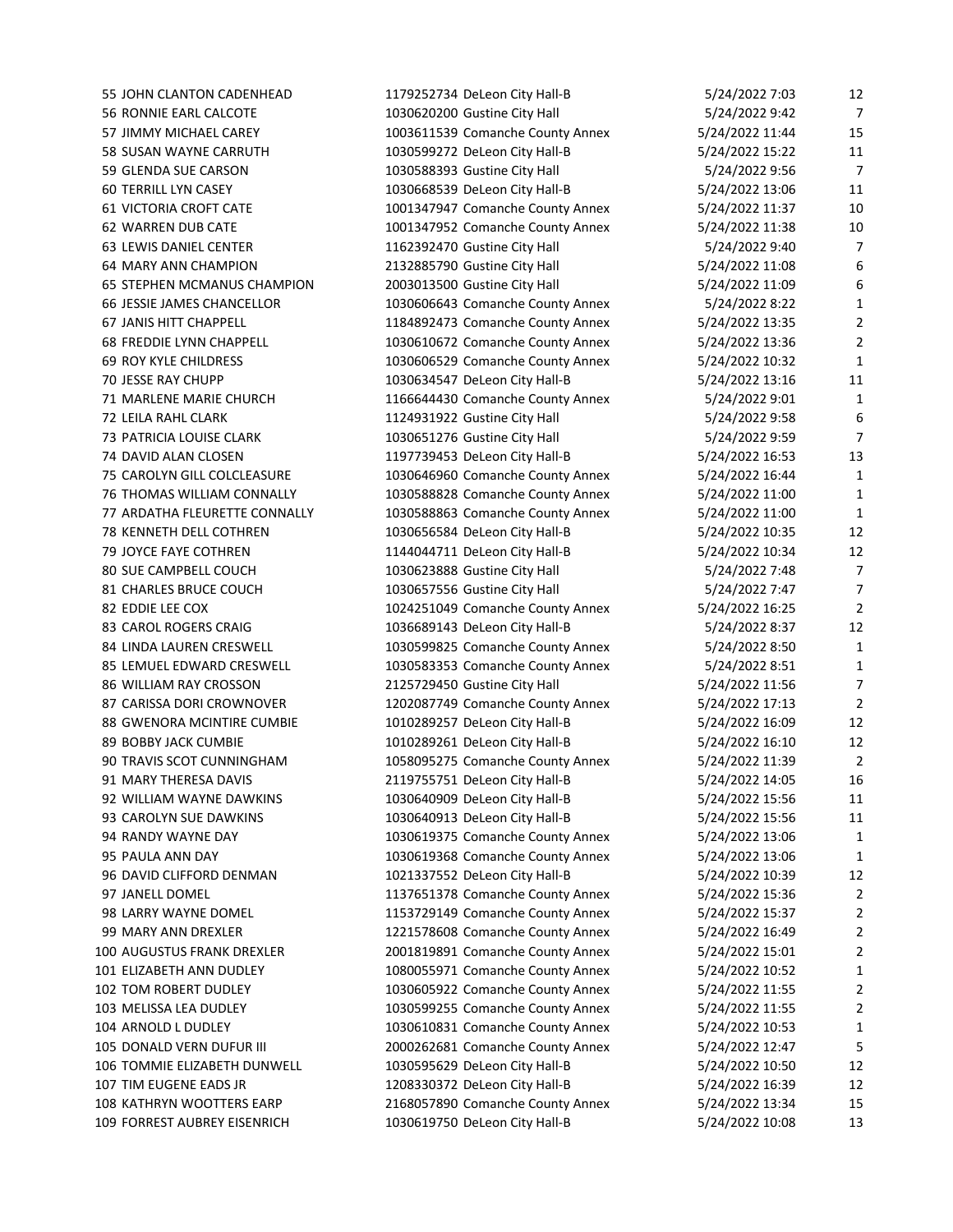55 JOHN CLANTON CADENHEAD 1179252734 DeLeon City Hall-B 5 56 RONNIE EARL CALCOTE 1030620200 Gustine City Hall 5 57 JIMMY MICHAEL CAREY 1003611539 Comanche County Annex 5/ 58 SUSAN WAYNE CARRUTH 1030599272 DeLeon City Hall-B 5/24/2022 15:22 59 GLENDA SUE CARSON 1030588393 Gustine City Hall 5 60 TERRILL LYN CASEY 1030668539 DeLeon City Hall-B 5/ 61 VICTORIA CROFT CATE 1001347947 Comanche County Annex 5/ 62 WARREN DUB CATE 1001347952 Comanche County Annex 5/ 63 LEWIS DANIEL CENTER 1162392470 Gustine City Hall 5 64 MARY ANN CHAMPION 2132885790 Gustine City Hall 5/ 65 STEPHEN MCMANUS CHAMPION 2003013500 Gustine City Hall 5/24/2023 12:09 65/2022 12:09 69 66 JESSIE JAMES CHANCELLOR 1030606643 Comanche County Annex 5 67 JANIS HITT CHAPPELL 1184892473 Comanche County Annex 5/ 68 FREDDIE LYNN CHAPPELL 1030610672 Comanche County Annex 5/ 69 ROY KYLE CHILDRESS 1030606529 Comanche County Annex 5/24 70 JESSE RAY CHUPP 1030634547 DeLeon City Hall-B 5/ 71 MARLENE MARIE CHURCH 1166644430 Comanche County Annex 5 72 LEILA RAHL CLARK 1124931922 Gustine City Hall 5 73 PATRICIA LOUISE CLARK 1030651276 Gustine City Hall 5 74 DAVID ALAN CLOSEN 1197739453 DeLeon City Hall-B 5/ 75 CAROLYN GILL COLCLEASURE 1030646960 Comanche County Annex 5/ 76 THOMAS WILLIAM CONNALLY 1030588828 Comanche County Annex 5/ 77 ARDATHA FLEURETTE CONNALLY 1030588863 Comanche County Annex 5/ 78 KENNETH DELL COTHREN 1030656584 DeLeon City Hall-B 5/ 79 JOYCE FAYE COTHREN 1144044711 DeLeon City Hall-B 5/ 80 SUE CAMPBELL COUCH 1030623888 Gustine City Hall 5 81 CHARLES BRUCE COUCH 1030657556 Gustine City Hall 5 82 EDDIE LEE COX 1024251049 Comanche County Annex 5/ 83 CAROL ROGERS CRAIG 1036689143 DeLeon City Hall-B 5 84 LINDA LAUREN CRESWELL 1030599825 Comanche County Annex 5 85 LEMUEL EDWARD CRESWELL 1030583353 Comanche County Annex 5 86 WILLIAM RAY CROSSON 2125729450 Gustine City Hall 5/24/2022 12:5729450 Gustine City Hall 87 CARISSA DORI CROWNOVER 1202087749 Comanche County Annex 5/ 88 GWENORA MCINTIRE CUMBIE 1010289257 DeLeon City Hall-B 5/24/2020 89 BOBBY JACK CUMBIE 1010289261 DeLeon City Hall-B 5/ 90 TRAVIS SCOT CUNNINGHAM 1058095275 Comanche County Annex 5/ 91 MARY THERESA DAVIS **2119755751 DeLeon City Hall-B** 5/ 92 WILLIAM WAYNE DAWKINS 1030640909 DeLeon City Hall-B 5/ 93 CAROLYN SUE DAWKINS 1030640913 DeLeon City Hall-B 5/24/2022 15:56 15:46 94 RANDY WAYNE DAY 1030619375 Comanche County Annex 5/ 95 PAULA ANN DAY 1030619368 Comanche County Annex 5/ 96 DAVID CLIFFORD DENMAN 1021337552 DeLeon City Hall-B 5/ 97 JANELL DOMEL 1137651378 Comanche County Annex 5/ 98 LARRY WAYNE DOMEL 1153729149 Comanche County Annex 5/ 99 MARY ANN DREXLER 1221578608 Comanche County Annex 5/ 100 AUGUSTUS FRANK DREXLER 2001819891 Comanche County Annex 5/ 101 ELIZABETH ANN DUDLEY 1080055971 Comanche County Annex 5/ 102 TOM ROBERT DUDLEY 1030605922 Comanche County Annex 5/ 103 MELISSA LEA DUDLEY 1030599255 Comanche County Annex 5/ 104 ARNOLD L DUDLEY 1030610831 Comanche County Annex 5/ 105 DONALD VERN DUFUR III 2000262681 Comanche County Annex 5/ 106 TOMMIE ELIZABETH DUNWELL 1030595629 DeLeon City Hall-B 5/24/2022 10:50 12:00 12:00 12:00 12:00 12:00 12:0 107 TIM EUGENE EADS JR 1208330372 DeLeon City Hall-B 5/24/2022 16:49 12:08330372 DeLeon City Hall-B 108 KATHRYN WOOTTERS EARP 2168057890 Comanche County Annex 5/ 109 FORREST AUBREY EISENRICH 1030619750 DeLeon City Hall-B 5/24/2022 10:08 13:09 10:08 14:09 10:08 14:09 10:0

| 5/24/2022 7:03 | 12 |
|----------------|----|
| 5/24/2022 9:42 | 7  |
| 24/2022 11:44  | 15 |
| 24/2022 15:22  | 11 |
| 6/24/2022 9:56 | 7  |
| 24/2022 13:06  | 11 |
| 24/2022 11:37  | 10 |
| 24/2022 11:38  | 10 |
| 6/24/2022 9:40 | 7  |
| 24/2022 11:08  | Е  |
| 24/2022 11:09  | Е  |
| 5/24/2022 8:22 | 1  |
| 24/2022 13:35  | 2  |
| 24/2022 13:36  | 2  |
| 24/2022 10:32  | 1  |
| 24/2022 13:16  | 11 |
| 5/24/2022 9:01 | 1  |
| 6/24/2022 9:58 | Е  |
| 6/24/2022 9:59 | 7  |
| 24/2022 16:53  | 13 |
| 24/2022 16:44  | 1  |
| 24/2022 11:00  | 1  |
| 24/2022 11:00  | 1  |
| 24/2022 10:35  | 12 |
| 24/2022 10:34  | 12 |
| 5/24/2022 7:48 | 7  |
| 5/24/2022 7:47 | 7  |
| 24/2022 16:25  | 2  |
| 6/24/2022 8:37 | 12 |
| 5/24/2022 8:50 | 1  |
| 5/24/2022 8:51 | 1  |
| 24/2022 11:56  | 7  |
| 24/2022 17:13  | 2  |
| 24/2022 16:09  | 12 |
| 24/2022 16:10  | 12 |
| 24/2022 11:39  | 2  |
| 24/2022 14:05  | 16 |
| 24/2022 15:56  | 11 |
| 24/2022 15:56  | 11 |
| 24/2022 13:06  | 1  |
| 24/2022 13:06  | 1  |
| 24/2022 10:39  | 12 |
| 24/2022 15:36  | 2  |
| 24/2022 15:37  | 2  |
| 24/2022 16:49  | 2  |
| 24/2022 15:01  | 2  |
| 24/2022 10:52  | 1  |
| 24/2022 11:55  | 2  |
| 24/2022 11:55  | 2  |
| 24/2022 10:53  | 1  |
| 24/2022 12:47  | 5  |
| 24/2022 10:50  | 12 |
| 24/2022 16:39  | 12 |
| 24/2022 13:34  | 15 |
|                |    |
| 24/2022 10:08  | 13 |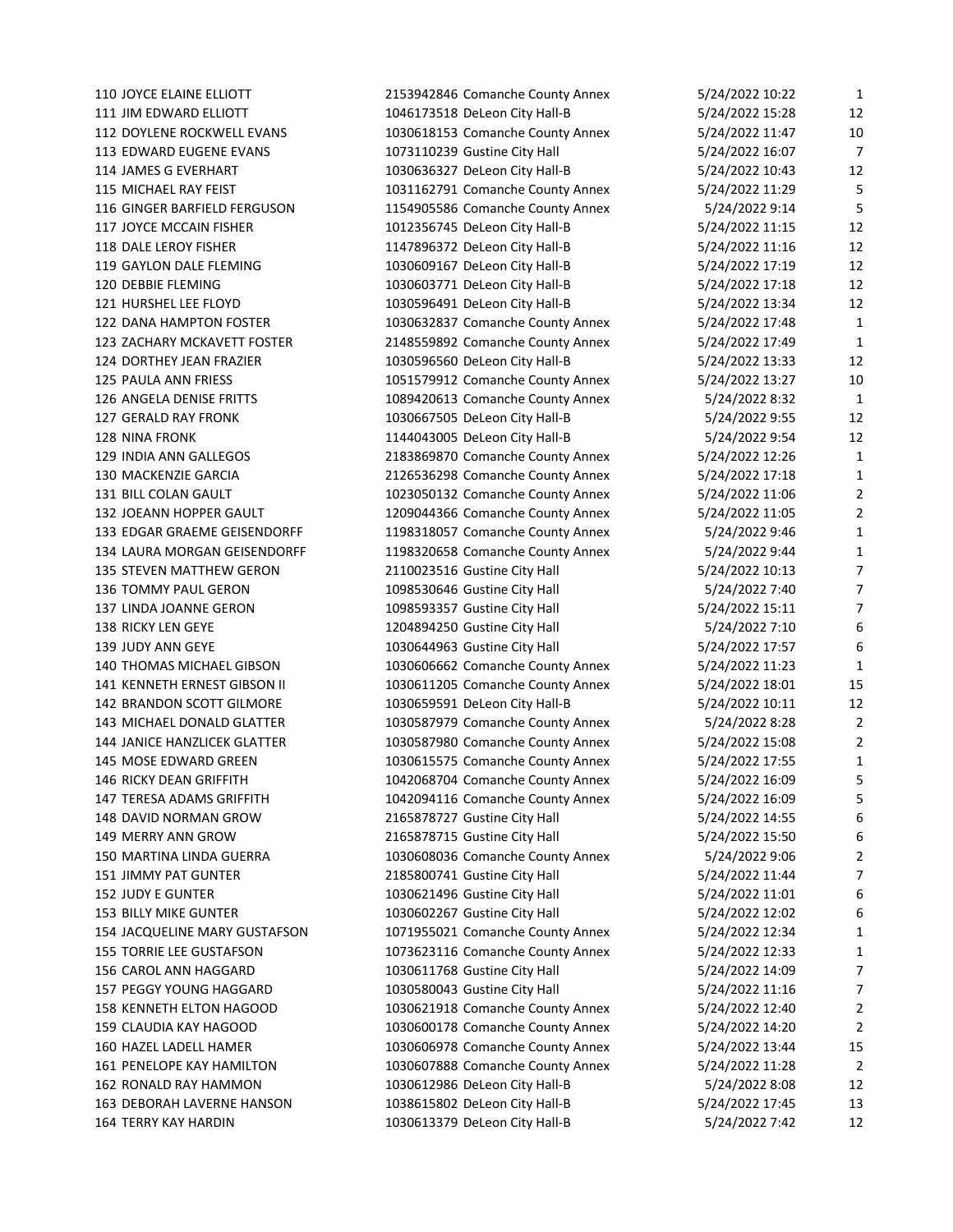JOYCE ELAINE ELLIOTT 2153942846 Comanche County Annex 5/24/2022 10:22 1 JIM EDWARD ELLIOTT 1046173518 DeLeon City Hall-B 5/24/2022 15:28 12 DOYLENE ROCKWELL EVANS 1030618153 Comanche County Annex 5/24/2022 11:47 10 113 EDWARD EUGENE EVANS 1073110239 Gustine City Hall 5/24/2022 16:07 7 JAMES G EVERHART 1030636327 DeLeon City Hall-B 5/24/2022 10:43 12 115 MICHAEL RAY FEIST 1031162791 Comanche County Annex 5/24/2022 11:29 5 GINGER BARFIELD FERGUSON 1154905586 Comanche County Annex 5/24/2022 9:14 5 JOYCE MCCAIN FISHER 1012356745 DeLeon City Hall-B 5/24/2022 11:15 12 118 DALE LEROY FISHER 1147896372 DeLeon City Hall-B 5/24/2022 11:16 12 GAYLON DALE FLEMING 1030609167 DeLeon City Hall-B 5/24/2022 17:19 12 DEBBIE FLEMING 1030603771 DeLeon City Hall-B 5/24/2022 17:18 12 HURSHEL LEE FLOYD 1030596491 DeLeon City Hall-B 5/24/2022 13:34 12 DANA HAMPTON FOSTER 1030632837 Comanche County Annex 5/24/2022 17:48 1 ZACHARY MCKAVETT FOSTER 2148559892 Comanche County Annex 5/24/2022 17:49 1 124 DORTHEY JEAN FRAZIER 1030596560 DeLeon City Hall-B 5/24/2022 13:33 12 PAULA ANN FRIESS 1051579912 Comanche County Annex 5/24/2022 13:27 10 ANGELA DENISE FRITTS 1089420613 Comanche County Annex 5/24/2022 8:32 1 GERALD RAY FRONK 1030667505 DeLeon City Hall-B 5/24/2022 9:55 12 NINA FRONK 1144043005 DeLeon City Hall-B 5/24/2022 9:54 12 INDIA ANN GALLEGOS 2183869870 Comanche County Annex 5/24/2022 12:26 1 MACKENZIE GARCIA 2126536298 Comanche County Annex 5/24/2022 17:18 1 BILL COLAN GAULT 1023050132 Comanche County Annex 5/24/2022 11:06 2 JOEANN HOPPER GAULT 1209044366 Comanche County Annex 5/24/2022 11:05 2 EDGAR GRAEME GEISENDORFF 1198318057 Comanche County Annex 5/24/2022 9:46 1 LAURA MORGAN GEISENDORFF 1198320658 Comanche County Annex 5/24/2022 9:44 1 135 STEVEN MATTHEW GERON 2110023516 Gustine City Hall 5/24/2022 10:13 7 136 TOMMY PAUL GERON 1098530646 Gustine City Hall 5/24/2022 7:40 7 137 LINDA JOANNE GERON 1098593357 Gustine City Hall 5/24/2022 15:11 7 138 RICKY LEN GEYE 1204894250 Gustine City Hall 5/24/2022 7:10 6 JUDY ANN GEYE 1030644963 Gustine City Hall 5/24/2022 17:57 6 THOMAS MICHAEL GIBSON 1030606662 Comanche County Annex 5/24/2022 11:23 1 KENNETH ERNEST GIBSON II 1030611205 Comanche County Annex 5/24/2022 18:01 15 142 BRANDON SCOTT GILMORE 1030659591 DeLeon City Hall-B 5/24/2022 10:11 12 MICHAEL DONALD GLATTER 1030587979 Comanche County Annex 5/24/2022 8:28 2 JANICE HANZLICEK GLATTER 1030587980 Comanche County Annex 5/24/2022 15:08 2 MOSE EDWARD GREEN 1030615575 Comanche County Annex 5/24/2022 17:55 1 RICKY DEAN GRIFFITH 1042068704 Comanche County Annex 5/24/2022 16:09 5 TERESA ADAMS GRIFFITH 1042094116 Comanche County Annex 5/24/2022 16:09 5 148 DAVID NORMAN GROW 2165878727 Gustine City Hall 5/24/2022 14:55 6 MERRY ANN GROW 2165878715 Gustine City Hall 5/24/2022 15:50 6 MARTINA LINDA GUERRA 1030608036 Comanche County Annex 5/24/2022 9:06 2 JIMMY PAT GUNTER 2185800741 Gustine City Hall 5/24/2022 11:44 7 JUDY E GUNTER 1030621496 Gustine City Hall 5/24/2022 11:01 6 BILLY MIKE GUNTER 1030602267 Gustine City Hall 5/24/2022 12:02 6 JACQUELINE MARY GUSTAFSON 1071955021 Comanche County Annex 5/24/2022 12:34 1 TORRIE LEE GUSTAFSON 1073623116 Comanche County Annex 5/24/2022 12:33 1 CAROL ANN HAGGARD 1030611768 Gustine City Hall 5/24/2022 14:09 7 157 PEGGY YOUNG HAGGARD 1030580043 Gustine City Hall 5/24/2022 11:16 7 KENNETH ELTON HAGOOD 1030621918 Comanche County Annex 5/24/2022 12:40 2 CLAUDIA KAY HAGOOD 1030600178 Comanche County Annex 5/24/2022 14:20 2 HAZEL LADELL HAMER 1030606978 Comanche County Annex 5/24/2022 13:44 15 PENELOPE KAY HAMILTON 1030607888 Comanche County Annex 5/24/2022 11:28 2 RONALD RAY HAMMON 1030612986 DeLeon City Hall-B 5/24/2022 8:08 12 DEBORAH LAVERNE HANSON 1038615802 DeLeon City Hall-B 5/24/2022 17:45 13 TERRY KAY HARDIN 1030613379 DeLeon City Hall-B 5/24/2022 7:42 12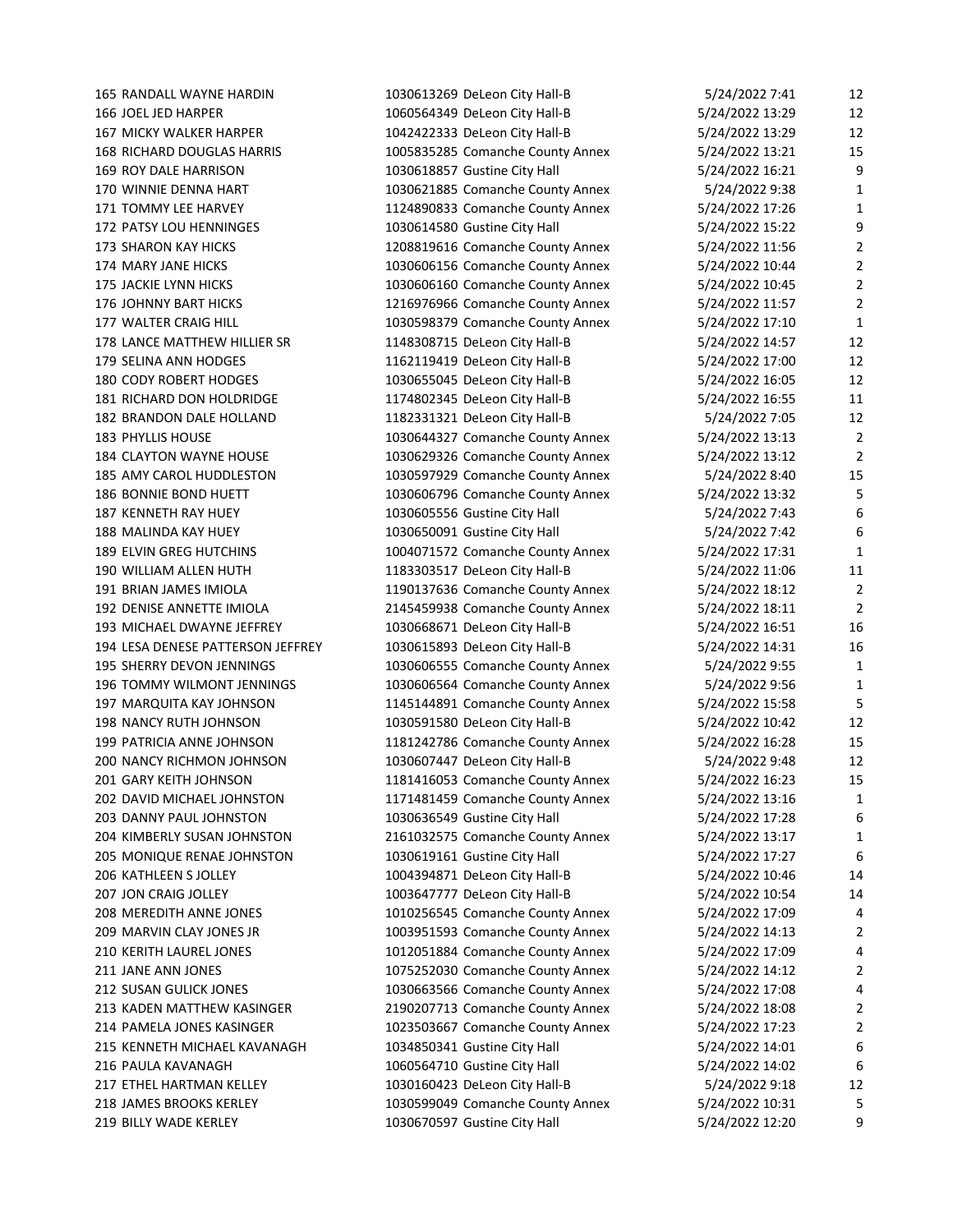182 BRANDON DALE HOLLAND 1182331321 DeLeon City Hall-B 187 KENNETH RAY HUEY 1030605556 Gustine City Hall 188 MALINDA KAY HUEY 1030650091 Gustine City Hall 200 NANCY RICHMON JOHNSON 1030607447 DeLeon City Hall-B 217 ETHEL HARTMAN KELLEY 1030160423 DeLeon City Hall-B

165 RANDALL WAYNE HARDIN 1030613269 DeLeon City Hall-B 166 JOEL JED HARPER 1060564349 DeLeon City Hall-B 5. 167 MICKY WALKER HARPER 1042422333 DeLeon City Hall-B 5 168 RICHARD DOUGLAS HARRIS 1005835285 Comanche County Annex 5 169 ROY DALE HARRISON 1030618857 Gustine City Hall 5. 170 WINNIE DENNA HART 1030621885 Comanche County Annex 171 TOMMY LEE HARVEY 1124890833 Comanche County Annex 5, 172 PATSY LOU HENNINGES 1030614580 Gustine City Hall 5. 173 SHARON KAY HICKS 1208819616 Comanche County Annex 5 174 MARY JANE HICKS 1030606156 Comanche County Annex 5, 175 JACKIE LYNN HICKS 1030606160 Comanche County Annex 5. 176 JOHNNY BART HICKS 1216976966 Comanche County Annex 5, 177 WALTER CRAIG HILL 1030598379 Comanche County Annex 5. 178 LANCE MATTHEW HILLIER SR 1148308715 DeLeon City Hall-B 5, 179 SELINA ANN HODGES 1162119419 DeLeon City Hall-B 5 180 CODY ROBERT HODGES 1030655045 DeLeon City Hall-B 5. 181 RICHARD DON HOLDRIDGE 1174802345 DeLeon City Hall-B 5, 183 PHYLLIS HOUSE 1030644327 Comanche County Annex 5, 184 CLAYTON WAYNE HOUSE 1030629326 Comanche County Annex 5. 185 AMY CAROL HUDDLESTON 1030597929 Comanche County Annex 186 BONNIE BOND HUETT 1030606796 Comanche County Annex 5, 189 ELVIN GREG HUTCHINS 1004071572 Comanche County Annex 5 190 WILLIAM ALLEN HUTH 1183303517 DeLeon City Hall-B 5. 191 BRIAN JAMES IMIOLA 1190137636 Comanche County Annex 5 192 DENISE ANNETTE IMIOLA 2145459938 Comanche County Annex 5 193 MICHAEL DWAYNE JEFFREY 1030668671 DeLeon City Hall-B 5 194 LESA DENESE PATTERSON JEFFREY 1030615893 DeLeon City Hall-B 5 195 SHERRY DEVON JENNINGS 1030606555 Comanche County Annex 196 TOMMY WILMONT JENNINGS 1030606564 Comanche County Annex 197 MARQUITA KAY JOHNSON 1145144891 Comanche County Annex 5. 198 NANCY RUTH JOHNSON 1030591580 DeLeon City Hall-B 5 199 PATRICIA ANNE JOHNSON 1181242786 Comanche County Annex 5. 201 GARY KEITH JOHNSON 1181416053 Comanche County Annex 5 202 DAVID MICHAEL JOHNSTON 1171481459 Comanche County Annex 5 203 DANNY PAUL JOHNSTON 1030636549 Gustine City Hall 5, 204 KIMBERLY SUSAN JOHNSTON 2161032575 Comanche County Annex 5 205 MONIQUE RENAE JOHNSTON 1030619161 Gustine City Hall 5, 5 206 KATHLEEN S JOLLEY 1004394871 DeLeon City Hall-B 5. 207 JON CRAIG JOLLEY 1003647777 DeLeon City Hall-B 5 208 MEREDITH ANNE JONES 1010256545 Comanche County Annex 5, 209 MARVIN CLAY JONES JR 1003951593 Comanche County Annex 5. 210 KERITH LAUREL JONES 1012051884 Comanche County Annex 5 211 JANE ANN JONES 1075252030 Comanche County Annex 5 212 SUSAN GULICK JONES 1030663566 Comanche County Annex 5 213 KADEN MATTHEW KASINGER 2190207713 Comanche County Annex 5 214 PAMELA JONES KASINGER 1023503667 Comanche County Annex 5 215 KENNETH MICHAEL KAVANAGH 1034850341 Gustine City Hall 5 216 PAULA KAVANAGH 1060564710 Gustine City Hall 5. 218 JAMES BROOKS KERLEY 1030599049 Comanche County Annex 5, 219 BILLY WADE KERLEY THE REGIST OF THE 1030670597 Gustine City Hall 5, 5, 2022

| 5/24/2022 7:41 | 12                      |
|----------------|-------------------------|
| /24/2022 13:29 | 12                      |
| /24/2022 13:29 | 12                      |
| /24/2022 13:21 | 15                      |
| /24/2022 16:21 | 9                       |
| 5/24/2022 9:38 | 1                       |
| /24/2022 17:26 | 1                       |
| /24/2022 15:22 | 9                       |
| /24/2022 11:56 | $\overline{a}$          |
| /24/2022 10:44 | $\overline{\mathbf{c}}$ |
| /24/2022 10:45 | $\overline{a}$          |
| /24/2022 11:57 | $\overline{a}$          |
| /24/2022 17:10 | 1                       |
| /24/2022 14:57 |                         |
|                | 12                      |
| /24/2022 17:00 | 12                      |
| /24/2022 16:05 | 12                      |
| /24/2022 16:55 | 11                      |
| 5/24/2022 7:05 | 12                      |
| /24/2022 13:13 | 2                       |
| /24/2022 13:12 | 2                       |
| 5/24/2022 8:40 | 15                      |
| /24/2022 13:32 | 5                       |
| 5/24/2022 7:43 | 6                       |
| 5/24/2022 7:42 | 6                       |
| /24/2022 17:31 | 1                       |
| /24/2022 11:06 | 11                      |
| /24/2022 18:12 | 2                       |
| /24/2022 18:11 | 2                       |
| /24/2022 16:51 | 16                      |
| /24/2022 14:31 | 16                      |
| 5/24/2022 9:55 | 1                       |
| 5/24/2022 9:56 | 1                       |
| /24/2022 15:58 | 5                       |
| /24/2022 10:42 | 12                      |
| /24/2022 16:28 | 15                      |
| 5/24/2022 9:48 | 12                      |
| /24/2022 16:23 | 15                      |
| /24/2022 13:16 | 1                       |
| /24/2022 17:28 | 6                       |
| /24/2022 13:17 | 1                       |
| /24/2022 17:27 | 6                       |
| /24/2022 10:46 | 14                      |
| /24/2022 10:54 | 14                      |
| /24/2022 17:09 | 4                       |
| /24/2022 14:13 | 2                       |
| /24/2022 17:09 | 4                       |
| /24/2022 14:12 | $\overline{a}$          |
| /24/2022 17:08 | 4                       |
| /24/2022 18:08 | 2                       |
| /24/2022 17:23 | 2                       |
| /24/2022 14:01 | 6                       |
| /24/2022 14:02 | 6                       |
| 5/24/2022 9:18 | 12                      |
| /24/2022 10:31 | 5                       |
| /24/2022 12:20 | 9                       |
|                |                         |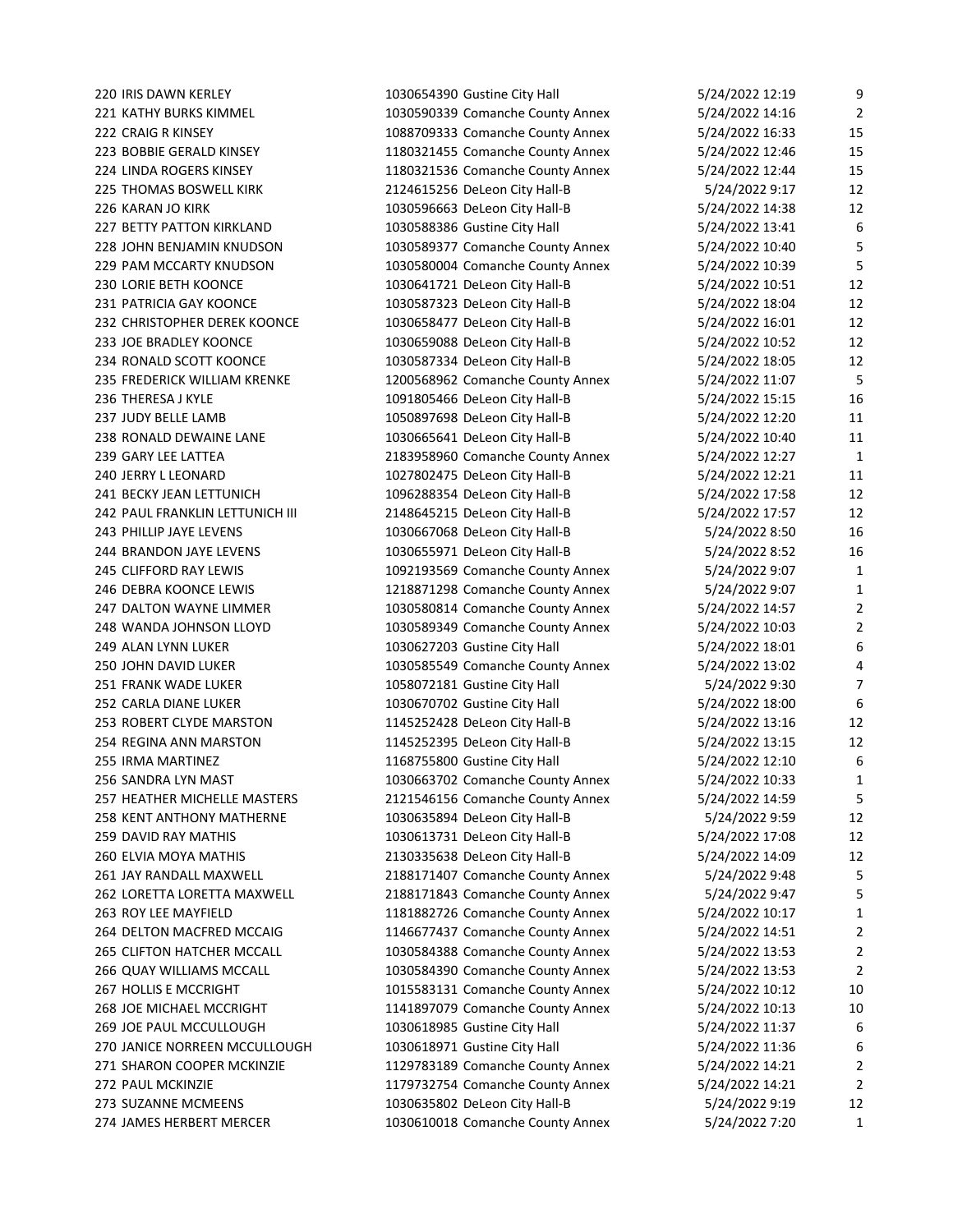JAMES HERBERT MERCER 1030610018 Comanche County Annex 5/24/2022 7:20 1

 IRIS DAWN KERLEY 1030654390 Gustine City Hall 5/24/2022 12:19 9 KATHY BURKS KIMMEL 1030590339 Comanche County Annex 5/24/2022 14:16 2 CRAIG R KINSEY 1088709333 Comanche County Annex 5/24/2022 16:33 15 BOBBIE GERALD KINSEY 1180321455 Comanche County Annex 5/24/2022 12:46 15 LINDA ROGERS KINSEY 1180321536 Comanche County Annex 5/24/2022 12:44 15 225 THOMAS BOSWELL KIRK 2124615256 DeLeon City Hall-B 5/24/2022 9:17 12 KARAN JO KIRK 1030596663 DeLeon City Hall-B 5/24/2022 14:38 12 BETTY PATTON KIRKLAND 1030588386 Gustine City Hall 5/24/2022 13:41 6 JOHN BENJAMIN KNUDSON 1030589377 Comanche County Annex 5/24/2022 10:40 5 PAM MCCARTY KNUDSON 1030580004 Comanche County Annex 5/24/2022 10:39 5 230 LORIE BETH KOONCE 1030641721 DeLeon City Hall-B 5/24/2022 10:51 12 PATRICIA GAY KOONCE 1030587323 DeLeon City Hall-B 5/24/2022 18:04 12 CHRISTOPHER DEREK KOONCE 1030658477 DeLeon City Hall-B 5/24/2022 16:01 12 233 JOE BRADLEY KOONCE 1030659088 DeLeon City Hall-B 5/24/2022 10:52 12 234 RONALD SCOTT KOONCE 1030587334 DeLeon City Hall-B 5/24/2022 18:05 12 FREDERICK WILLIAM KRENKE 1200568962 Comanche County Annex 5/24/2022 11:07 5 236 THERESA J KYLE 1091805466 DeLeon City Hall-B 5/24/2022 15:15 16 237 JUDY BELLE LAMB 1050897698 DeLeon City Hall-B 5/24/2022 12:20 11 RONALD DEWAINE LANE 1030665641 DeLeon City Hall-B 5/24/2022 10:40 11 GARY LEE LATTEA 2183958960 Comanche County Annex 5/24/2022 12:27 1 240 JERRY L LEONARD 1027802475 DeLeon City Hall-B 5/24/2022 12:21 11 BECKY JEAN LETTUNICH 1096288354 DeLeon City Hall-B 5/24/2022 17:58 12 242 PAUL FRANKLIN LETTUNICH III 2148645215 DeLeon City Hall-B 5/24/2022 17:57 12 PHILLIP JAYE LEVENS 1030667068 DeLeon City Hall-B 5/24/2022 8:50 16 244 BRANDON JAYE LEVENS 1030655971 DeLeon City Hall-B 5/24/2022 8:52 16 CLIFFORD RAY LEWIS 1092193569 Comanche County Annex 5/24/2022 9:07 1 DEBRA KOONCE LEWIS 1218871298 Comanche County Annex 5/24/2022 9:07 1 DALTON WAYNE LIMMER 1030580814 Comanche County Annex 5/24/2022 14:57 2 WANDA JOHNSON LLOYD 1030589349 Comanche County Annex 5/24/2022 10:03 2 ALAN LYNN LUKER 1030627203 Gustine City Hall 5/24/2022 18:01 6 JOHN DAVID LUKER 1030585549 Comanche County Annex 5/24/2022 13:02 4 FRANK WADE LUKER 1058072181 Gustine City Hall 5/24/2022 9:30 7 CARLA DIANE LUKER 1030670702 Gustine City Hall 5/24/2022 18:00 6 ROBERT CLYDE MARSTON 1145252428 DeLeon City Hall-B 5/24/2022 13:16 12 REGINA ANN MARSTON 1145252395 DeLeon City Hall-B 5/24/2022 13:15 12 IRMA MARTINEZ 1168755800 Gustine City Hall 5/24/2022 12:10 6 SANDRA LYN MAST 1030663702 Comanche County Annex 5/24/2022 10:33 1 HEATHER MICHELLE MASTERS 2121546156 Comanche County Annex 5/24/2022 14:59 5 KENT ANTHONY MATHERNE 1030635894 DeLeon City Hall-B 5/24/2022 9:59 12 DAVID RAY MATHIS 1030613731 DeLeon City Hall-B 5/24/2022 17:08 12 ELVIA MOYA MATHIS 2130335638 DeLeon City Hall-B 5/24/2022 14:09 12 JAY RANDALL MAXWELL 2188171407 Comanche County Annex 5/24/2022 9:48 5 LORETTA LORETTA MAXWELL 2188171843 Comanche County Annex 5/24/2022 9:47 5 ROY LEE MAYFIELD 1181882726 Comanche County Annex 5/24/2022 10:17 1 DELTON MACFRED MCCAIG 1146677437 Comanche County Annex 5/24/2022 14:51 2 CLIFTON HATCHER MCCALL 1030584388 Comanche County Annex 5/24/2022 13:53 2 QUAY WILLIAMS MCCALL 1030584390 Comanche County Annex 5/24/2022 13:53 2 HOLLIS E MCCRIGHT 1015583131 Comanche County Annex 5/24/2022 10:12 10 JOE MICHAEL MCCRIGHT 1141897079 Comanche County Annex 5/24/2022 10:13 10 JOE PAUL MCCULLOUGH 1030618985 Gustine City Hall 5/24/2022 11:37 6 JANICE NORREEN MCCULLOUGH 1030618971 Gustine City Hall 5/24/2022 11:36 6 SHARON COOPER MCKINZIE 1129783189 Comanche County Annex 5/24/2022 14:21 2 PAUL MCKINZIE 1179732754 Comanche County Annex 5/24/2022 14:21 2 SUZANNE MCMEENS 1030635802 DeLeon City Hall-B 5/24/2022 9:19 12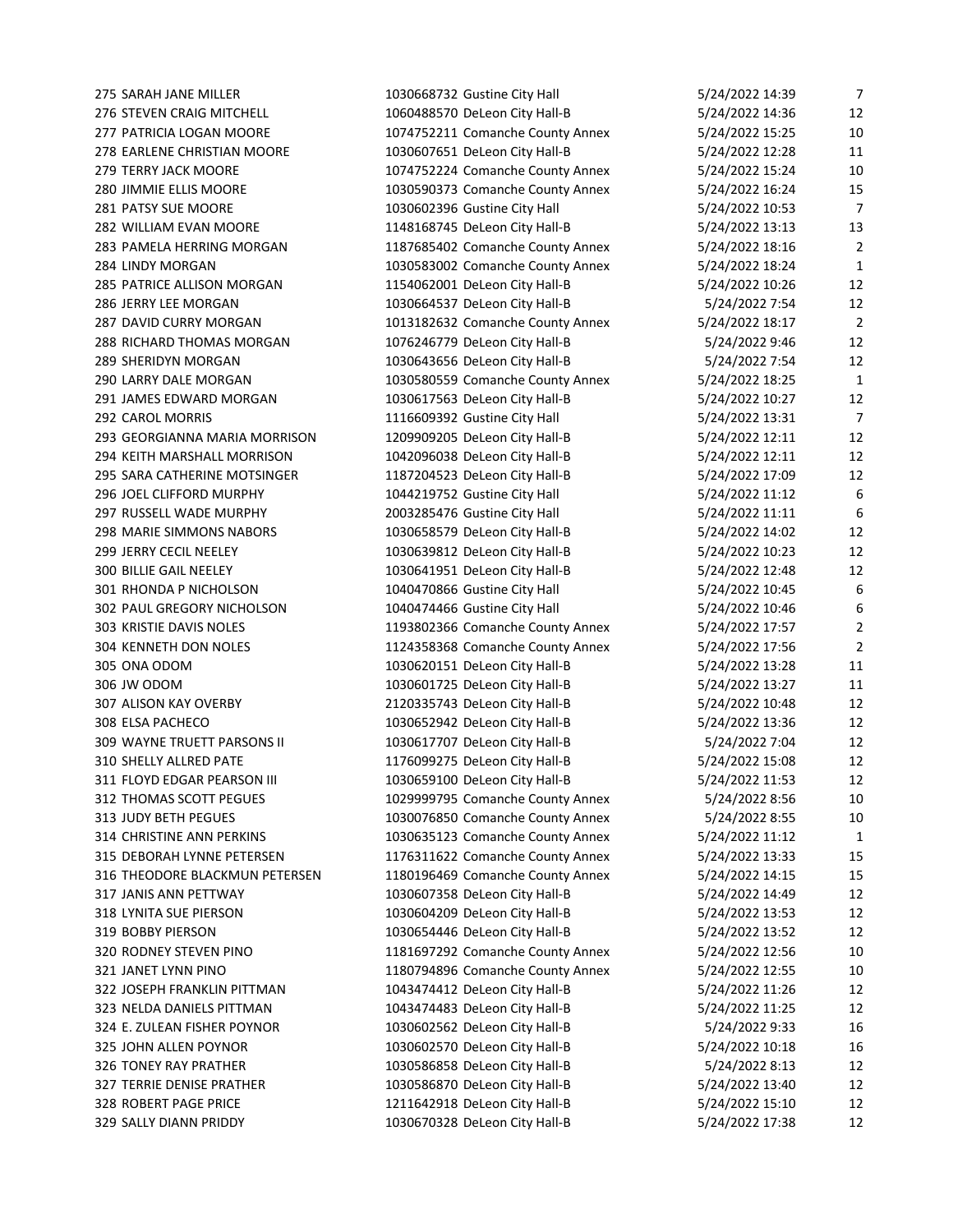STEVEN CRAIG MITCHELL 1060488570 DeLeon City Hall-B 5/24/2022 14:36 12 PATRICIA LOGAN MOORE 1074752211 Comanche County Annex 5/24/2022 15:25 10 278 EARLENE CHRISTIAN MOORE 1030607651 DeLeon City Hall-B 5/24/2022 12:28 11 TERRY JACK MOORE 1074752224 Comanche County Annex 5/24/2022 15:24 10 JIMMIE ELLIS MOORE 1030590373 Comanche County Annex 5/24/2022 16:24 15 PATSY SUE MOORE 1030602396 Gustine City Hall 5/24/2022 10:53 7 WILLIAM EVAN MOORE 1148168745 DeLeon City Hall-B 5/24/2022 13:13 13 PAMELA HERRING MORGAN 1187685402 Comanche County Annex 5/24/2022 18:16 2 LINDY MORGAN 1030583002 Comanche County Annex 5/24/2022 18:24 1 285 PATRICE ALLISON MORGAN 1154062001 DeLeon City Hall-B 5/24/2022 10:26 12 JERRY LEE MORGAN 1030664537 DeLeon City Hall-B 5/24/2022 7:54 12 DAVID CURRY MORGAN 1013182632 Comanche County Annex 5/24/2022 18:17 2 288 RICHARD THOMAS MORGAN 1076246779 DeLeon City Hall-B 5/24/2022 9:46 12 289 SHERIDYN MORGAN 1030643656 DeLeon City Hall-B 5/24/2022 7:54 12 LARRY DALE MORGAN 1030580559 Comanche County Annex 5/24/2022 18:25 1 JAMES EDWARD MORGAN 1030617563 DeLeon City Hall-B 5/24/2022 10:27 12 CAROL MORRIS 1116609392 Gustine City Hall 5/24/2022 13:31 7 293 GEORGIANNA MARIA MORRISON 1209909205 DeLeon City Hall-B 5/24/2022 12:11 12 294 KEITH MARSHALL MORRISON 1042096038 DeLeon City Hall-B 5/24/2022 12:11 12 SARA CATHERINE MOTSINGER 1187204523 DeLeon City Hall-B 5/24/2022 17:09 12 JOEL CLIFFORD MURPHY 1044219752 Gustine City Hall 5/24/2022 11:12 6 297 RUSSELL WADE MURPHY 12003285476 Gustine City Hall 5/24/2022 11:11 6 MARIE SIMMONS NABORS 1030658579 DeLeon City Hall-B 5/24/2022 14:02 12 JERRY CECIL NEELEY 1030639812 DeLeon City Hall-B 5/24/2022 10:23 12 BILLIE GAIL NEELEY 1030641951 DeLeon City Hall-B 5/24/2022 12:48 12 RHONDA P NICHOLSON 1040470866 Gustine City Hall 5/24/2022 10:45 6 302 PAUL GREGORY NICHOLSON 1040474466 Gustine City Hall 5/24/2022 10:46 6 KRISTIE DAVIS NOLES 1193802366 Comanche County Annex 5/24/2022 17:57 2 KENNETH DON NOLES 1124358368 Comanche County Annex 5/24/2022 17:56 2 ONA ODOM 1030620151 DeLeon City Hall-B 5/24/2022 13:28 11 JW ODOM 1030601725 DeLeon City Hall-B 5/24/2022 13:27 11 ALISON KAY OVERBY 2120335743 DeLeon City Hall-B 5/24/2022 10:48 12 ELSA PACHECO 1030652942 DeLeon City Hall-B 5/24/2022 13:36 12 WAYNE TRUETT PARSONS II 1030617707 DeLeon City Hall-B 5/24/2022 7:04 12 SHELLY ALLRED PATE 1176099275 DeLeon City Hall-B 5/24/2022 15:08 12 311 FLOYD EDGAR PEARSON III 1030659100 DeLeon City Hall-B 5/24/2022 11:53 12 THOMAS SCOTT PEGUES 1029999795 Comanche County Annex 5/24/2022 8:56 10 JUDY BETH PEGUES 1030076850 Comanche County Annex 5/24/2022 8:55 10 CHRISTINE ANN PERKINS 1030635123 Comanche County Annex 5/24/2022 11:12 1 DEBORAH LYNNE PETERSEN 1176311622 Comanche County Annex 5/24/2022 13:33 15 THEODORE BLACKMUN PETERSEN 1180196469 Comanche County Annex 5/24/2022 14:15 15 JANIS ANN PETTWAY 1030607358 DeLeon City Hall-B 5/24/2022 14:49 12 LYNITA SUE PIERSON 1030604209 DeLeon City Hall-B 5/24/2022 13:53 12 BOBBY PIERSON 1030654446 DeLeon City Hall-B 5/24/2022 13:52 12 RODNEY STEVEN PINO 1181697292 Comanche County Annex 5/24/2022 12:56 10 JANET LYNN PINO 1180794896 Comanche County Annex 5/24/2022 12:55 10 JOSEPH FRANKLIN PITTMAN 1043474412 DeLeon City Hall-B 5/24/2022 11:26 12 NELDA DANIELS PITTMAN 1043474483 DeLeon City Hall-B 5/24/2022 11:25 12 324 E. ZULEAN FISHER POYNOR 1030602562 DeLeon City Hall-B 5/24/2022 9:33 16 325 JOHN ALLEN POYNOR 1030602570 DeLeon City Hall-B 5/24/2022 10:18 16 TONEY RAY PRATHER 1030586858 DeLeon City Hall-B 5/24/2022 8:13 12 327 TERRIE DENISE PRATHER 1030586870 DeLeon City Hall-B 5/24/2022 13:40 12 328 ROBERT PAGE PRICE 1211642918 DeLeon City Hall-B 5/24/2022 15:10 12 SALLY DIANN PRIDDY 1030670328 DeLeon City Hall-B 5/24/2022 17:38 12

SARAH JANE MILLER 1030668732 Gustine City Hall 5/24/2022 14:39 7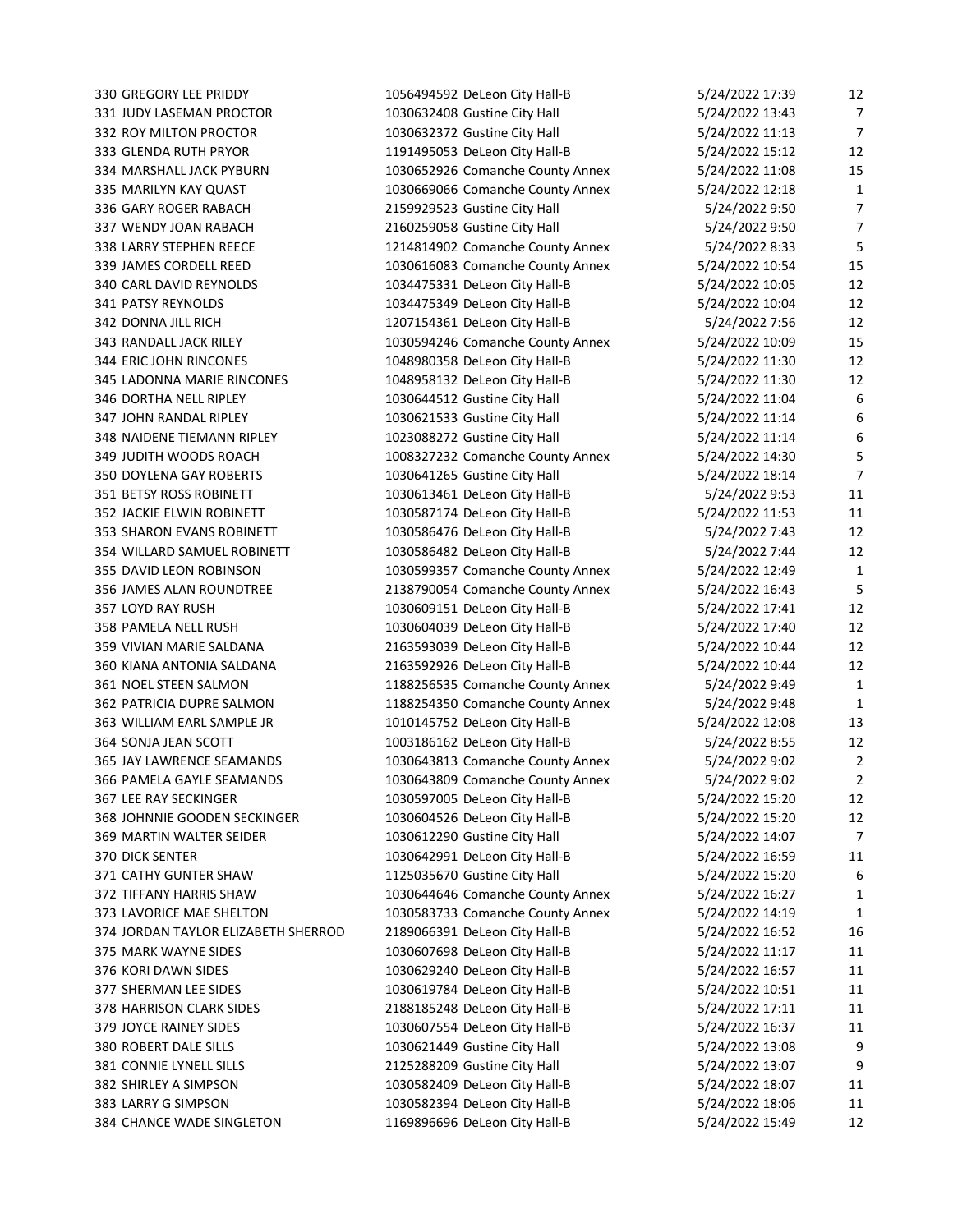MARSHALL JACK PYBURN 1030652926 Comanche County Annex 5/24/2022 11:08 15 WENDY JOAN RABACH 2160259058 Gustine City Hall 5/24/2022 9:50 7 CARL DAVID REYNOLDS 1034475331 DeLeon City Hall-B 5/24/2022 10:05 12 DONNA JILL RICH 1207154361 DeLeon City Hall-B 5/24/2022 7:56 12 RANDALL JACK RILEY 1030594246 Comanche County Annex 5/24/2022 10:09 15 JOHN RANDAL RIPLEY 1030621533 Gustine City Hall 5/24/2022 11:14 6 DOYLENA GAY ROBERTS 1030641265 Gustine City Hall 5/24/2022 18:14 7 SHARON EVANS ROBINETT 1030586476 DeLeon City Hall-B 5/24/2022 7:43 12 JAMES ALAN ROUNDTREE 2138790054 Comanche County Annex 5/24/2022 16:43 5 VIVIAN MARIE SALDANA 2163593039 DeLeon City Hall-B 5/24/2022 10:44 12 PATRICIA DUPRE SALMON 1188254350 Comanche County Annex 5/24/2022 9:48 1 364 SONJA JEAN SCOTT 1003186162 DeLeon City Hall-B 5/24/2022 8:55 12 JAY LAWRENCE SEAMANDS 1030643813 Comanche County Annex 5/24/2022 9:02 2 JOHNNIE GOODEN SECKINGER 1030604526 DeLeon City Hall-B 5/24/2022 15:20 12 375 MARK WAYNE SIDES 1030607698 DeLeon City Hall-B 5/24/2022 11:17 11 378 HARRISON CLARK SIDES 2188185248 DeLeon City Hall-B 5/24/2022 17:11 11

330 GREGORY LEE PRIDDY 1056494592 DeLeon City Hall-B 5/24/2022 17:39 12 331 JUDY LASEMAN PROCTOR 1030632408 Gustine City Hall 5/24/2022 13:43 7 332 ROY MILTON PROCTOR 1030632372 Gustine City Hall 5/24/2022 11:13 7 333 GLENDA RUTH PRYOR 1191495053 DeLeon City Hall-B 5/24/2022 15:12 12 335 MARILYN KAY QUAST 1030669066 Comanche County Annex 5/24/2022 12:18 1 336 GARY ROGER RABACH 2159929523 Gustine City Hall 5/24/2022 9:50 7 338 LARRY STEPHEN REECE 1214814902 Comanche County Annex 5/24/2022 8:33 5 339 JAMES CORDELL REED 1030616083 Comanche County Annex 5/24/2022 10:54 15 341 PATSY REYNOLDS 1034475349 DeLeon City Hall-B 5/24/2022 10:04 12 344 ERIC JOHN RINCONES 1048980358 DeLeon City Hall-B 5/24/2022 11:30 12 345 LADONNA MARIE RINCONES 1048958132 DeLeon City Hall-B 5/24/2022 11:30 12 346 DORTHA NELL RIPLEY 1030644512 Gustine City Hall 5/24/2022 11:04 6 348 NAIDENE TIEMANN RIPLEY 1023088272 Gustine City Hall 5/24/2022 11:14 6 349 JUDITH WOODS ROACH 1008327232 Comanche County Annex 5/24/2022 14:30 5 351 BETSY ROSS ROBINETT 1030613461 DeLeon City Hall-B 5/24/2022 9:53 11 352 JACKIE ELWIN ROBINETT 1030587174 DeLeon City Hall-B 5/24/2022 11:53 11 354 WILLARD SAMUEL ROBINETT 1030586482 DeLeon City Hall-B 5/24/2022 7:44 12 355 DAVID LEON ROBINSON 1030599357 Comanche County Annex 5/24/2022 12:49 1 357 LOYD RAY RUSH 1030609151 DeLeon City Hall-B 5/24/2022 17:41 12 358 PAMELA NELL RUSH 1030604039 DeLeon City Hall-B 5/24/2022 17:40 12 360 KIANA ANTONIA SALDANA 2163592926 DeLeon City Hall-B 5/24/2022 10:44 12 361 NOEL STEEN SALMON 1188256535 Comanche County Annex 5/24/2022 9:49 1 363 WILLIAM EARL SAMPLE JR 1010145752 DeLeon City Hall-B 5/24/2022 12:08 13 366 PAMELA GAYLE SEAMANDS 1030643809 Comanche County Annex 5/24/2022 9:02 2 367 LEE RAY SECKINGER 1030597005 DeLeon City Hall-B 5/24/2022 15:20 12 369 MARTIN WALTER SEIDER 1030612290 Gustine City Hall 5/24/2022 14:07 7 370 DICK SENTER 1030642991 DeLeon City Hall-B 5/24/2022 16:59 11 371 CATHY GUNTER SHAW 1125035670 Gustine City Hall 5/24/2022 15:20 6 372 TIFFANY HARRIS SHAW 1030644646 Comanche County Annex 5/24/2022 16:27 1 373 LAVORICE MAE SHELTON 1030583733 Comanche County Annex 5/24/2022 14:19 1 374 JORDAN TAYLOR ELIZABETH SHERROD 2189066391 DeLeon City Hall-B 5/24/2022 16:52 16 376 KORI DAWN SIDES 1030629240 DeLeon City Hall-B 5/24/2022 16:57 11 377 SHERMAN LEE SIDES 1030619784 DeLeon City Hall-B 5/24/2022 10:51 11 379 JOYCE RAINEY SIDES 1030607554 DeLeon City Hall-B 5/24/2022 16:37 11 380 ROBERT DALE SILLS 1030621449 Gustine City Hall 5/24/2022 13:08 9 381 CONNIE LYNELL SILLS 2125288209 Gustine City Hall 5/24/2022 13:07 9 382 SHIRLEY A SIMPSON 1030582409 DeLeon City Hall-B 5/24/2022 18:07 11 383 LARRY G SIMPSON 1030582394 DeLeon City Hall-B 5/24/2022 18:06 11 384 CHANCE WADE SINGLETON 1169896696 DeLeon City Hall-B 5/24/2022 15:49 12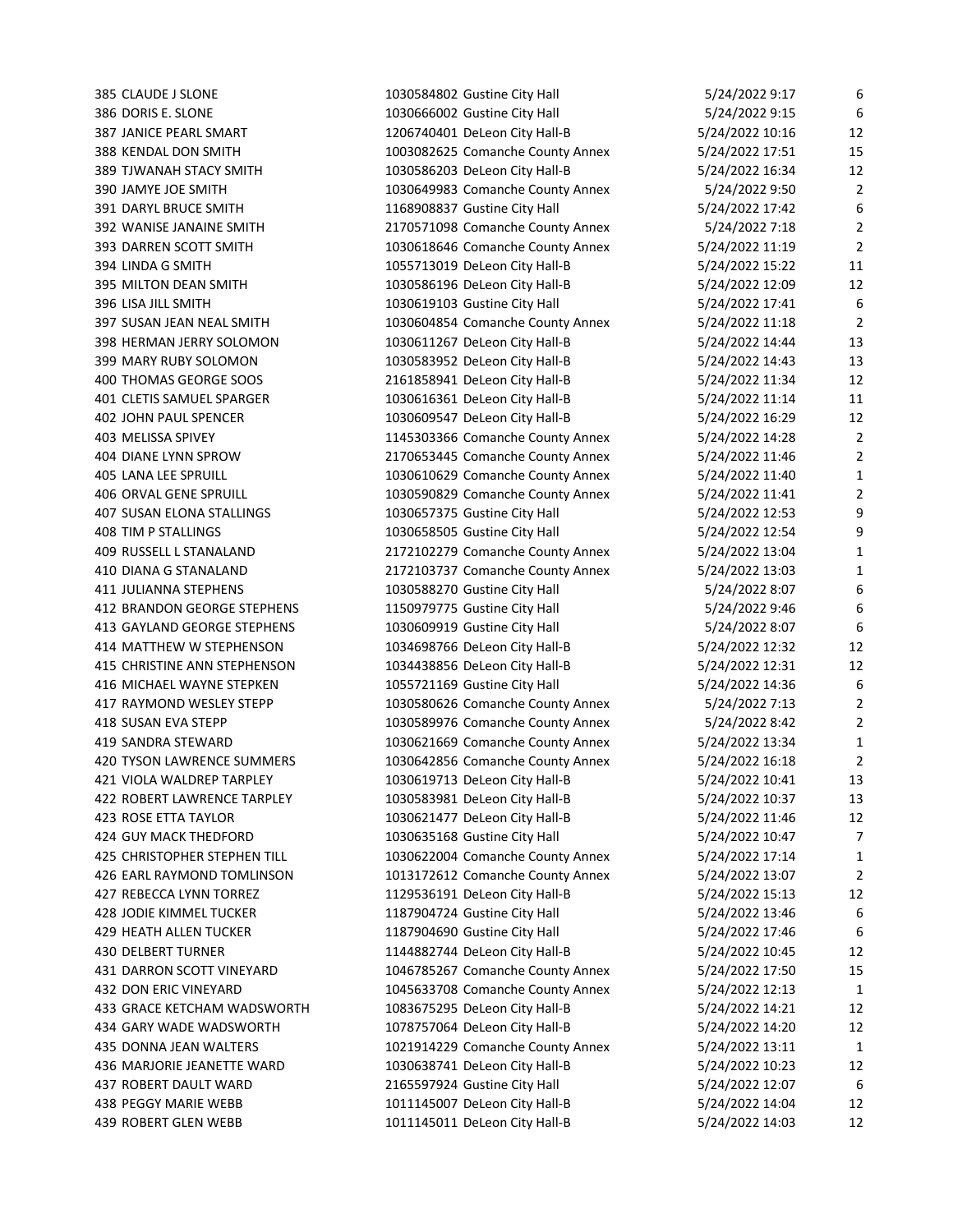385 CLAUDE J SLONE 1030584802 Gustine City Hall 5/24/2022 9:17 6 386 DORIS E. SLONE 1030666002 Gustine City Hall 5/24/2022 9:15 6 387 JANICE PEARL SMART 1206740401 DeLeon City Hall-B 5/24/2022 10:16 12 388 KENDAL DON SMITH 1003082625 Comanche County Annex 5/24/2022 17:51 15 389 TJWANAH STACY SMITH 1030586203 DeLeon City Hall-B 5/24/2022 16:34 12 390 JAMYE JOE SMITH 1030649983 Comanche County Annex 5/24/2022 9:50 2 391 DARYL BRUCE SMITH 1168908837 Gustine City Hall 5/24/2022 17:42 6 392 WANISE JANAINE SMITH 2170571098 Comanche County Annex 5/24/2022 7:18 2 393 DARREN SCOTT SMITH 1030618646 Comanche County Annex 5/24/2022 11:19 2 394 LINDA G SMITH 1055713019 DeLeon City Hall-B 5/24/2022 15:22 11 395 MILTON DEAN SMITH 1030586196 DeLeon City Hall-B 5/24/2022 12:09 12 396 LISA JILL SMITH 1030619103 Gustine City Hall 5/24/2022 17:41 6 397 SUSAN JEAN NEAL SMITH 1030604854 Comanche County Annex 5/24/2022 11:18 2 398 HERMAN JERRY SOLOMON 1030611267 DeLeon City Hall-B 5/24/2022 14:44 13 399 MARY RUBY SOLOMON 1030583952 DeLeon City Hall-B 5/24/2022 14:43 13 400 THOMAS GEORGE SOOS 2161858941 DeLeon City Hall-B 5/24/2022 11:34 12 401 CLETIS SAMUEL SPARGER 1030616361 DeLeon City Hall-B 5/24/2022 11:14 11 402 JOHN PAUL SPENCER 1030609547 DeLeon City Hall-B 5/24/2022 16:29 12 403 MELISSA SPIVEY 1145303366 Comanche County Annex 5/24/2022 14:28 2 404 DIANE LYNN SPROW 2170653445 Comanche County Annex 5/24/2022 11:46 2 405 LANA LEE SPRUILL 1030610629 Comanche County Annex 5/24/2022 11:40 1 406 ORVAL GENE SPRUILL 1030590829 Comanche County Annex 5/24/2022 11:41 2 407 SUSAN ELONA STALLINGS 1030657375 Gustine City Hall 5/24/2022 12:53 9 408 TIM P STALLINGS 1030658505 Gustine City Hall 5/24/2022 12:54 9 409 RUSSELL L STANALAND 2172102279 Comanche County Annex 5/24/2022 13:04 1 410 DIANA G STANALAND 2172103737 Comanche County Annex 5/24/2022 13:03 1 411 JULIANNA STEPHENS 1030588270 Gustine City Hall 5/24/2022 8:07 6 412 BRANDON GEORGE STEPHENS 1150979775 Gustine City Hall 5/24/2022 9:46 6 413 GAYLAND GEORGE STEPHENS 1030609919 Gustine City Hall 5/24/2022 8:07 6 414 MATTHEW W STEPHENSON 1034698766 DeLeon City Hall-B 5/24/2022 12:32 12:32 415 CHRISTINE ANN STEPHENSON 1034438856 DeLeon City Hall-B 5/24/2022 12:31 12 416 MICHAEL WAYNE STEPKEN 1055721169 Gustine City Hall 5/24/2022 14:36 6 417 RAYMOND WESLEY STEPP 1030580626 Comanche County Annex 5/24/2022 7:13 2 418 SUSAN EVA STEPP 1030589976 Comanche County Annex 5/24/2022 8:42 2 419 SANDRA STEWARD 1030621669 Comanche County Annex 5/24/2022 13:34 1 420 TYSON LAWRENCE SUMMERS 1030642856 Comanche County Annex 5/24/2022 16:18 2 421 VIOLA WALDREP TARPLEY 1030619713 DeLeon City Hall-B 5/24/2022 10:41 13 422 ROBERT LAWRENCE TARPLEY 1030583981 DeLeon City Hall-B 5/24/2022 10:37 13 423 ROSE ETTA TAYLOR 1030621477 DeLeon City Hall-B 5/24/2022 11:46 12 424 GUY MACK THEDFORD 1030635168 Gustine City Hall 5/24/2022 10:47 7 425 CHRISTOPHER STEPHEN TILL 1030622004 Comanche County Annex 5/24/2022 17:14 1 426 EARL RAYMOND TOMLINSON 1013172612 Comanche County Annex 5/24/2022 13:07 2 427 REBECCA LYNN TORREZ 1129536191 DeLeon City Hall-B 5/24/2022 15:13 12 428 JODIE KIMMEL TUCKER 1187904724 Gustine City Hall 5/24/2022 13:46 6 429 HEATH ALLEN TUCKER 1187904690 Gustine City Hall 5/24/2022 17:46 6 430 DELBERT TURNER 1144882744 DeLeon City Hall-B 5/24/2022 10:45 12 431 DARRON SCOTT VINEYARD 1046785267 Comanche County Annex 5/24/2022 17:50 15 432 DON ERIC VINEYARD 1045633708 Comanche County Annex 5/24/2022 12:13 1 433 GRACE KETCHAM WADSWORTH 1083675295 DeLeon City Hall-B 5/24/2022 14:21 12 434 GARY WADE WADSWORTH 1078757064 DeLeon City Hall-B 5/24/2022 14:20 12 435 DONNA JEAN WALTERS 1021914229 Comanche County Annex 5/24/2022 13:11 1 436 MARJORIE JEANETTE WARD 1030638741 DeLeon City Hall-B 5/24/2022 10:23 12 437 ROBERT DAULT WARD 2165597924 Gustine City Hall 5/24/2022 12:07 6 438 PEGGY MARIE WEBB 1011145007 DeLeon City Hall-B 5/24/2022 14:04 12 439 ROBERT GLEN WEBB 1011145011 DeLeon City Hall-B 5/24/2022 14:03 12